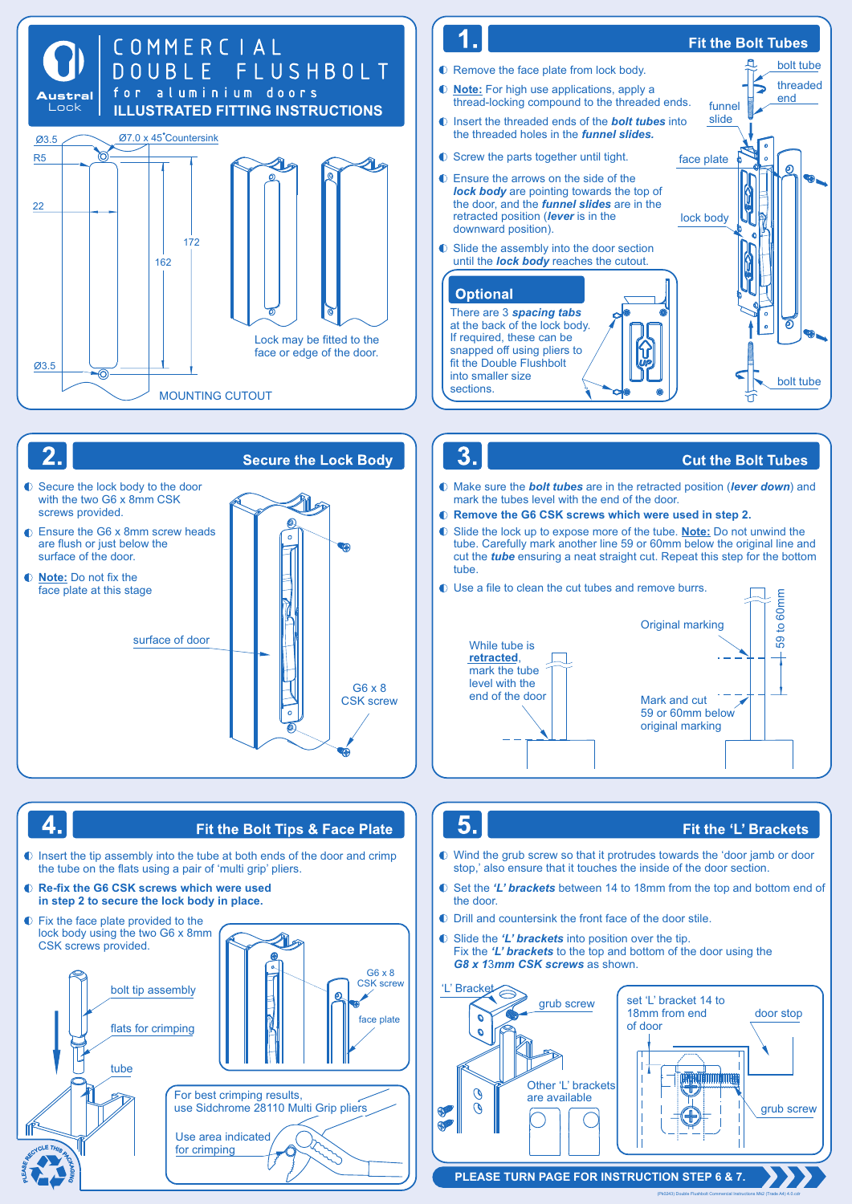







 $3<sub>1</sub>$ 

## **Cut the Bolt Tubes**

- mark the tubes level with the end of the door. Make sure the *bolt tubes* are in the retracted position (*lever down*) and
- **Remove the G6 CSK screws which were used in step 2.**
- Slide the lock up to expose more of the tube. **Note:** Do not unwind the tube. Carefully mark another line 59 or 60mm below the original line and cut the *tube* ensuring a neat straight cut. Repeat this step for the bottom tube





## 5.

# Fit the 'L' Brackets

(Pk0243) Double Flushbolt Commercial Instructions Mk2 (Trade A4) 4.0.cd

- stop,' also ensure that it touches the inside of the door section. Wind the grub screw so that it protrudes towards the 'door jamb or door
- the door. Set the *'L' brackets* between 14 to 18mm from the top and bottom end of
- $\bullet$  Drill and countersink the front face of the door stile.
- $\bullet$  Slide the 'L' brackets into position over the tip. Fix the *'L' brackets* to the top and bottom of the door using the *G8 x 1*3*mm CSK screws* as shown.